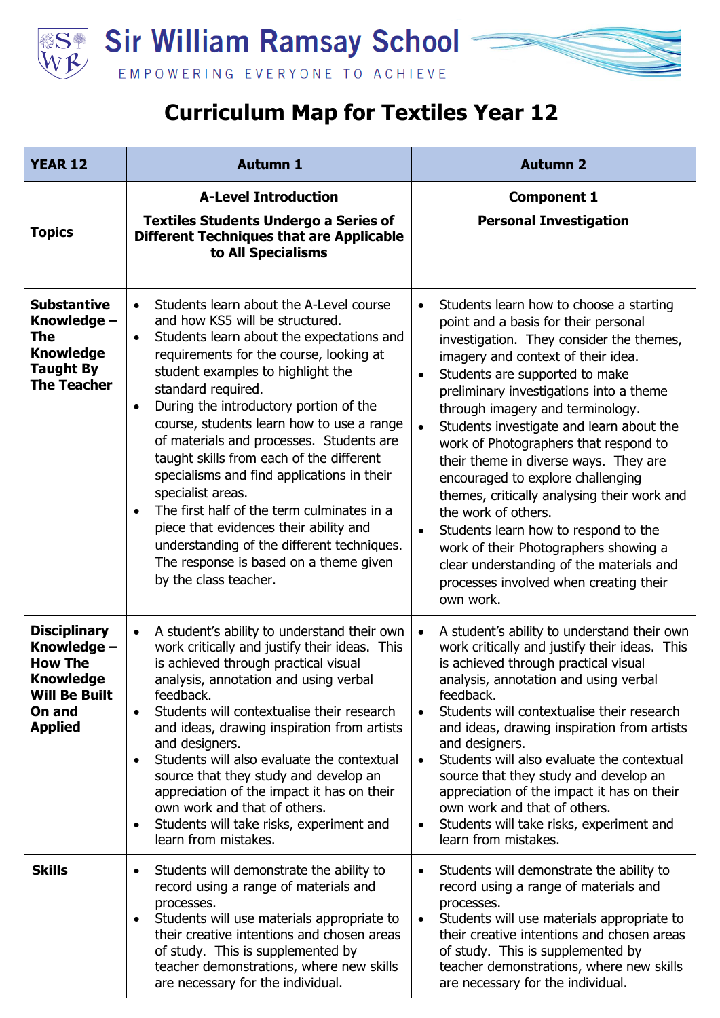

## **Curriculum Map for Textiles Year 12**

| <b>YEAR 12</b>                                                                                                               | <b>Autumn 1</b>                                                                                                                                                                                                                                                                                                                                                                                                                                                                                                                                                                                                                                                                                                                              | <b>Autumn 2</b>                                                                                                                                                                                                                                                                                                                                                                                                                                                                                                                                                                                                                                                                                                                                                     |
|------------------------------------------------------------------------------------------------------------------------------|----------------------------------------------------------------------------------------------------------------------------------------------------------------------------------------------------------------------------------------------------------------------------------------------------------------------------------------------------------------------------------------------------------------------------------------------------------------------------------------------------------------------------------------------------------------------------------------------------------------------------------------------------------------------------------------------------------------------------------------------|---------------------------------------------------------------------------------------------------------------------------------------------------------------------------------------------------------------------------------------------------------------------------------------------------------------------------------------------------------------------------------------------------------------------------------------------------------------------------------------------------------------------------------------------------------------------------------------------------------------------------------------------------------------------------------------------------------------------------------------------------------------------|
| <b>Topics</b>                                                                                                                | <b>A-Level Introduction</b><br><b>Textiles Students Undergo a Series of</b><br><b>Different Techniques that are Applicable</b><br>to All Specialisms                                                                                                                                                                                                                                                                                                                                                                                                                                                                                                                                                                                         | <b>Component 1</b><br><b>Personal Investigation</b>                                                                                                                                                                                                                                                                                                                                                                                                                                                                                                                                                                                                                                                                                                                 |
| <b>Substantive</b><br>Knowledge -<br><b>The</b><br><b>Knowledge</b><br><b>Taught By</b><br><b>The Teacher</b>                | Students learn about the A-Level course<br>$\bullet$<br>and how KS5 will be structured.<br>Students learn about the expectations and<br>$\bullet$<br>requirements for the course, looking at<br>student examples to highlight the<br>standard required.<br>During the introductory portion of the<br>$\bullet$<br>course, students learn how to use a range<br>of materials and processes. Students are<br>taught skills from each of the different<br>specialisms and find applications in their<br>specialist areas.<br>The first half of the term culminates in a<br>$\bullet$<br>piece that evidences their ability and<br>understanding of the different techniques.<br>The response is based on a theme given<br>by the class teacher. | Students learn how to choose a starting<br>$\bullet$<br>point and a basis for their personal<br>investigation. They consider the themes,<br>imagery and context of their idea.<br>Students are supported to make<br>$\bullet$<br>preliminary investigations into a theme<br>through imagery and terminology.<br>Students investigate and learn about the<br>$\bullet$<br>work of Photographers that respond to<br>their theme in diverse ways. They are<br>encouraged to explore challenging<br>themes, critically analysing their work and<br>the work of others.<br>Students learn how to respond to the<br>$\bullet$<br>work of their Photographers showing a<br>clear understanding of the materials and<br>processes involved when creating their<br>own work. |
| <b>Disciplinary</b><br>Knowledge -<br><b>How The</b><br><b>Knowledge</b><br><b>Will Be Built</b><br>On and<br><b>Applied</b> | A student's ability to understand their own<br>$\bullet$<br>work critically and justify their ideas. This<br>is achieved through practical visual<br>analysis, annotation and using verbal<br>feedback.<br>Students will contextualise their research<br>$\bullet$<br>and ideas, drawing inspiration from artists<br>and designers.<br>Students will also evaluate the contextual<br>$\bullet$<br>source that they study and develop an<br>appreciation of the impact it has on their<br>own work and that of others.<br>Students will take risks, experiment and<br>$\bullet$<br>learn from mistakes.                                                                                                                                       | A student's ability to understand their own<br>$\bullet$<br>work critically and justify their ideas. This<br>is achieved through practical visual<br>analysis, annotation and using verbal<br>feedback.<br>Students will contextualise their research<br>$\bullet$<br>and ideas, drawing inspiration from artists<br>and designers.<br>Students will also evaluate the contextual<br>$\bullet$<br>source that they study and develop an<br>appreciation of the impact it has on their<br>own work and that of others.<br>Students will take risks, experiment and<br>$\bullet$<br>learn from mistakes.                                                                                                                                                              |
| <b>Skills</b>                                                                                                                | Students will demonstrate the ability to<br>$\bullet$<br>record using a range of materials and<br>processes.<br>Students will use materials appropriate to<br>$\bullet$<br>their creative intentions and chosen areas<br>of study. This is supplemented by<br>teacher demonstrations, where new skills<br>are necessary for the individual.                                                                                                                                                                                                                                                                                                                                                                                                  | Students will demonstrate the ability to<br>$\bullet$<br>record using a range of materials and<br>processes.<br>Students will use materials appropriate to<br>$\bullet$<br>their creative intentions and chosen areas<br>of study. This is supplemented by<br>teacher demonstrations, where new skills<br>are necessary for the individual.                                                                                                                                                                                                                                                                                                                                                                                                                         |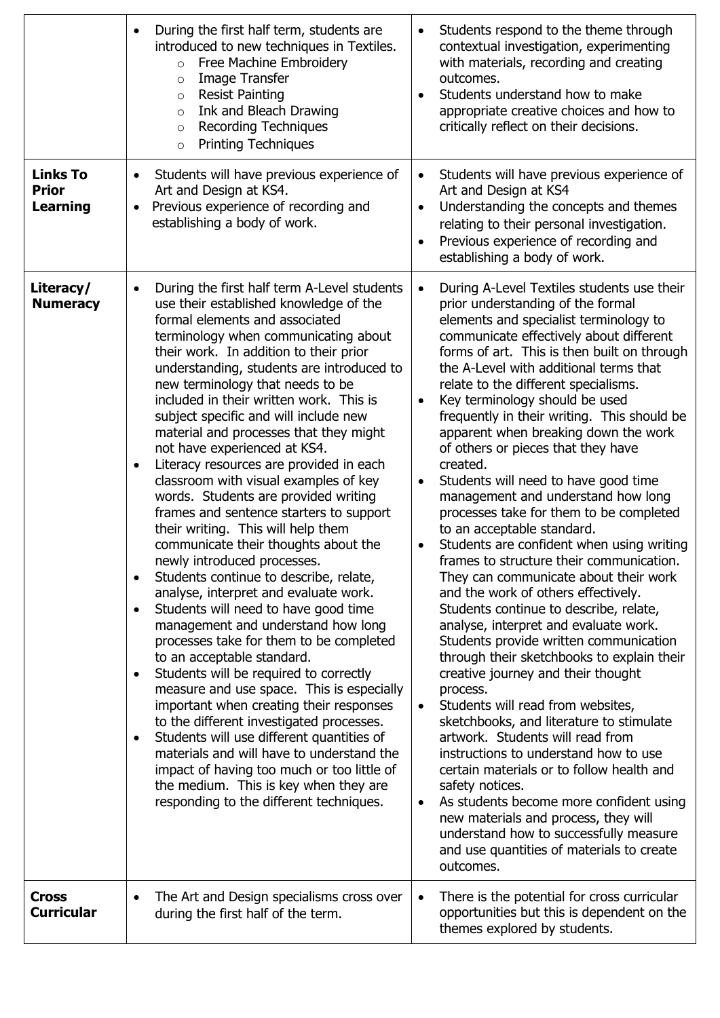|                                             | During the first half term, students are<br>$\bullet$<br>introduced to new techniques in Textiles.<br>Free Machine Embroidery<br>$\circ$<br>Image Transfer<br>$\circ$<br><b>Resist Painting</b><br>$\circ$<br>Ink and Bleach Drawing<br>$\circ$<br><b>Recording Techniques</b><br>$\circ$<br><b>Printing Techniques</b><br>$\circ$                                                                                                                                                                                                                                                                                                                                                                                                                                                                                                                                                                                                                                                                                                                                                                                                                                                                                                                                                                                                                                                                                                                                             | Students respond to the theme through<br>$\bullet$<br>contextual investigation, experimenting<br>with materials, recording and creating<br>outcomes.<br>Students understand how to make<br>$\bullet$<br>appropriate creative choices and how to<br>critically reflect on their decisions.                                                                                                                                                                                                                                                                                                                                                                                                                                                                                                                                                                                                                                                                                                                                                                                                                                                                                                                                                                                                                                                                                                                                                                                                                                        |
|---------------------------------------------|--------------------------------------------------------------------------------------------------------------------------------------------------------------------------------------------------------------------------------------------------------------------------------------------------------------------------------------------------------------------------------------------------------------------------------------------------------------------------------------------------------------------------------------------------------------------------------------------------------------------------------------------------------------------------------------------------------------------------------------------------------------------------------------------------------------------------------------------------------------------------------------------------------------------------------------------------------------------------------------------------------------------------------------------------------------------------------------------------------------------------------------------------------------------------------------------------------------------------------------------------------------------------------------------------------------------------------------------------------------------------------------------------------------------------------------------------------------------------------|----------------------------------------------------------------------------------------------------------------------------------------------------------------------------------------------------------------------------------------------------------------------------------------------------------------------------------------------------------------------------------------------------------------------------------------------------------------------------------------------------------------------------------------------------------------------------------------------------------------------------------------------------------------------------------------------------------------------------------------------------------------------------------------------------------------------------------------------------------------------------------------------------------------------------------------------------------------------------------------------------------------------------------------------------------------------------------------------------------------------------------------------------------------------------------------------------------------------------------------------------------------------------------------------------------------------------------------------------------------------------------------------------------------------------------------------------------------------------------------------------------------------------------|
| <b>Links To</b><br><b>Prior</b><br>Learning | Students will have previous experience of<br>$\bullet$<br>Art and Design at KS4.<br>Previous experience of recording and<br>$\bullet$<br>establishing a body of work.                                                                                                                                                                                                                                                                                                                                                                                                                                                                                                                                                                                                                                                                                                                                                                                                                                                                                                                                                                                                                                                                                                                                                                                                                                                                                                          | Students will have previous experience of<br>$\bullet$<br>Art and Design at KS4<br>Understanding the concepts and themes<br>$\bullet$<br>relating to their personal investigation.<br>Previous experience of recording and<br>$\bullet$<br>establishing a body of work.                                                                                                                                                                                                                                                                                                                                                                                                                                                                                                                                                                                                                                                                                                                                                                                                                                                                                                                                                                                                                                                                                                                                                                                                                                                          |
| Literacy/<br><b>Numeracy</b>                | During the first half term A-Level students<br>$\bullet$<br>use their established knowledge of the<br>formal elements and associated<br>terminology when communicating about<br>their work. In addition to their prior<br>understanding, students are introduced to<br>new terminology that needs to be<br>included in their written work. This is<br>subject specific and will include new<br>material and processes that they might<br>not have experienced at KS4.<br>Literacy resources are provided in each<br>$\bullet$<br>classroom with visual examples of key<br>words. Students are provided writing<br>frames and sentence starters to support<br>their writing. This will help them<br>communicate their thoughts about the<br>newly introduced processes.<br>Students continue to describe, relate,<br>$\bullet$<br>analyse, interpret and evaluate work.<br>Students will need to have good time<br>$\bullet$<br>management and understand how long<br>processes take for them to be completed<br>to an acceptable standard.<br>Students will be required to correctly<br>$\bullet$<br>measure and use space. This is especially<br>important when creating their responses<br>to the different investigated processes.<br>Students will use different quantities of<br>$\bullet$<br>materials and will have to understand the<br>impact of having too much or too little of<br>the medium. This is key when they are<br>responding to the different techniques. | During A-Level Textiles students use their<br>$\bullet$<br>prior understanding of the formal<br>elements and specialist terminology to<br>communicate effectively about different<br>forms of art. This is then built on through<br>the A-Level with additional terms that<br>relate to the different specialisms.<br>Key terminology should be used<br>$\bullet$<br>frequently in their writing. This should be<br>apparent when breaking down the work<br>of others or pieces that they have<br>created.<br>Students will need to have good time<br>٠<br>management and understand how long<br>processes take for them to be completed<br>to an acceptable standard.<br>Students are confident when using writing<br>$\bullet$<br>frames to structure their communication.<br>They can communicate about their work<br>and the work of others effectively.<br>Students continue to describe, relate,<br>analyse, interpret and evaluate work.<br>Students provide written communication<br>through their sketchbooks to explain their<br>creative journey and their thought<br>process.<br>Students will read from websites,<br>٠<br>sketchbooks, and literature to stimulate<br>artwork. Students will read from<br>instructions to understand how to use<br>certain materials or to follow health and<br>safety notices.<br>As students become more confident using<br>$\bullet$<br>new materials and process, they will<br>understand how to successfully measure<br>and use quantities of materials to create<br>outcomes. |
| <b>Cross</b><br><b>Curricular</b>           | The Art and Design specialisms cross over<br>$\bullet$<br>during the first half of the term.                                                                                                                                                                                                                                                                                                                                                                                                                                                                                                                                                                                                                                                                                                                                                                                                                                                                                                                                                                                                                                                                                                                                                                                                                                                                                                                                                                                   | There is the potential for cross curricular<br>$\bullet$<br>opportunities but this is dependent on the<br>themes explored by students.                                                                                                                                                                                                                                                                                                                                                                                                                                                                                                                                                                                                                                                                                                                                                                                                                                                                                                                                                                                                                                                                                                                                                                                                                                                                                                                                                                                           |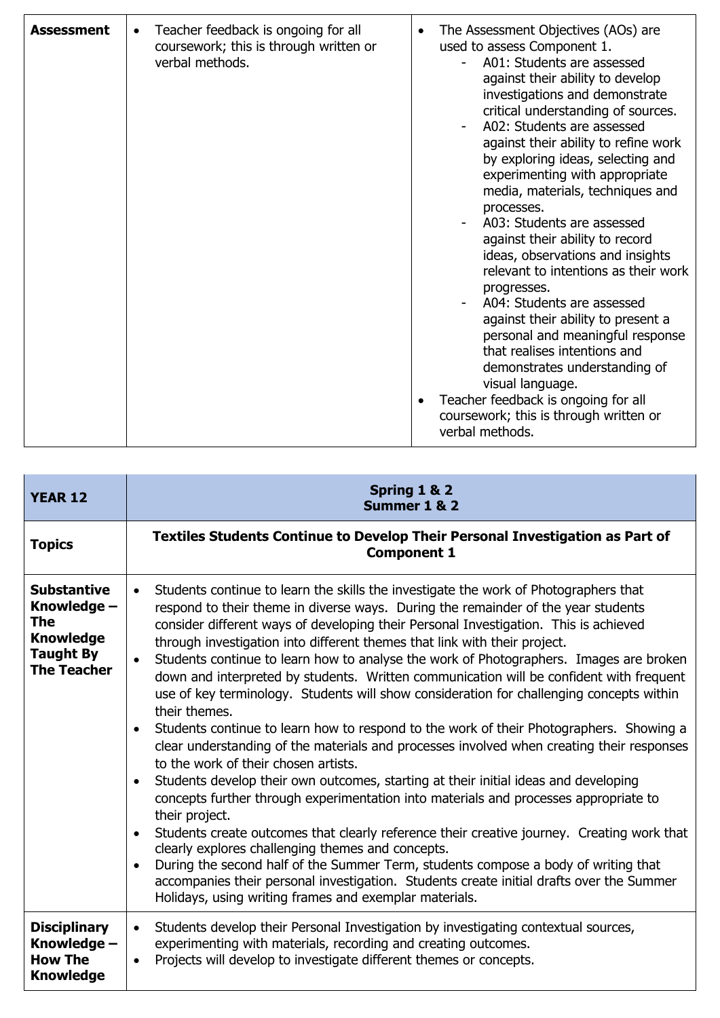| <b>Assessment</b> | Teacher feedback is ongoing for all<br>$\bullet$<br>coursework; this is through written or<br>verbal methods. | The Assessment Objectives (AOs) are<br>$\bullet$<br>used to assess Component 1.<br>A01: Students are assessed<br>against their ability to develop<br>investigations and demonstrate<br>critical understanding of sources.<br>A02: Students are assessed<br>against their ability to refine work<br>by exploring ideas, selecting and<br>experimenting with appropriate<br>media, materials, techniques and<br>processes.<br>A03: Students are assessed<br>against their ability to record<br>ideas, observations and insights<br>relevant to intentions as their work<br>progresses.<br>A04: Students are assessed<br>against their ability to present a<br>personal and meaningful response<br>that realises intentions and<br>demonstrates understanding of<br>visual language.<br>Teacher feedback is ongoing for all<br>coursework; this is through written or<br>verbal methods. |
|-------------------|---------------------------------------------------------------------------------------------------------------|---------------------------------------------------------------------------------------------------------------------------------------------------------------------------------------------------------------------------------------------------------------------------------------------------------------------------------------------------------------------------------------------------------------------------------------------------------------------------------------------------------------------------------------------------------------------------------------------------------------------------------------------------------------------------------------------------------------------------------------------------------------------------------------------------------------------------------------------------------------------------------------|
|-------------------|---------------------------------------------------------------------------------------------------------------|---------------------------------------------------------------------------------------------------------------------------------------------------------------------------------------------------------------------------------------------------------------------------------------------------------------------------------------------------------------------------------------------------------------------------------------------------------------------------------------------------------------------------------------------------------------------------------------------------------------------------------------------------------------------------------------------------------------------------------------------------------------------------------------------------------------------------------------------------------------------------------------|

| <b>YEAR 12</b>                                                                                         | Spring 1 & 2<br>Summer 1 & 2                                                                                                                                                                                                                                                                                                                                                                                                                                                                                                                                                                                                                                                                                                                                                                                                                                                                                                                                                                                                                                                                                                                                                                                                                                                                                                                                                                                                                                                                                                                      |
|--------------------------------------------------------------------------------------------------------|---------------------------------------------------------------------------------------------------------------------------------------------------------------------------------------------------------------------------------------------------------------------------------------------------------------------------------------------------------------------------------------------------------------------------------------------------------------------------------------------------------------------------------------------------------------------------------------------------------------------------------------------------------------------------------------------------------------------------------------------------------------------------------------------------------------------------------------------------------------------------------------------------------------------------------------------------------------------------------------------------------------------------------------------------------------------------------------------------------------------------------------------------------------------------------------------------------------------------------------------------------------------------------------------------------------------------------------------------------------------------------------------------------------------------------------------------------------------------------------------------------------------------------------------------|
| <b>Topics</b>                                                                                          | Textiles Students Continue to Develop Their Personal Investigation as Part of<br><b>Component 1</b>                                                                                                                                                                                                                                                                                                                                                                                                                                                                                                                                                                                                                                                                                                                                                                                                                                                                                                                                                                                                                                                                                                                                                                                                                                                                                                                                                                                                                                               |
| <b>Substantive</b><br>Knowledge -<br>The<br><b>Knowledge</b><br><b>Taught By</b><br><b>The Teacher</b> | Students continue to learn the skills the investigate the work of Photographers that<br>$\bullet$<br>respond to their theme in diverse ways. During the remainder of the year students<br>consider different ways of developing their Personal Investigation. This is achieved<br>through investigation into different themes that link with their project.<br>Students continue to learn how to analyse the work of Photographers. Images are broken<br>down and interpreted by students. Written communication will be confident with frequent<br>use of key terminology. Students will show consideration for challenging concepts within<br>their themes.<br>Students continue to learn how to respond to the work of their Photographers. Showing a<br>$\bullet$<br>clear understanding of the materials and processes involved when creating their responses<br>to the work of their chosen artists.<br>Students develop their own outcomes, starting at their initial ideas and developing<br>$\bullet$<br>concepts further through experimentation into materials and processes appropriate to<br>their project.<br>Students create outcomes that clearly reference their creative journey. Creating work that<br>$\bullet$<br>clearly explores challenging themes and concepts.<br>During the second half of the Summer Term, students compose a body of writing that<br>$\bullet$<br>accompanies their personal investigation. Students create initial drafts over the Summer<br>Holidays, using writing frames and exemplar materials. |
| <b>Disciplinary</b><br>Knowledge -<br><b>How The</b><br><b>Knowledge</b>                               | Students develop their Personal Investigation by investigating contextual sources,<br>$\bullet$<br>experimenting with materials, recording and creating outcomes.<br>Projects will develop to investigate different themes or concepts.<br>$\bullet$                                                                                                                                                                                                                                                                                                                                                                                                                                                                                                                                                                                                                                                                                                                                                                                                                                                                                                                                                                                                                                                                                                                                                                                                                                                                                              |